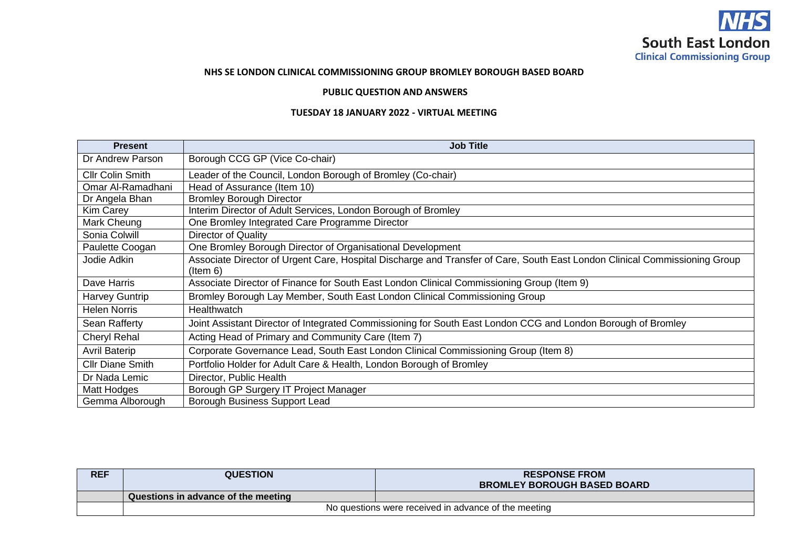

## **NHS SE LONDON CLINICAL COMMISSIONING GROUP BROMLEY BOROUGH BASED BOARD**

## **PUBLIC QUESTION AND ANSWERS**

## **TUESDAY 18 JANUARY 2022 - VIRTUAL MEETING**

| <b>Present</b>          | <b>Job Title</b>                                                                                                                       |  |  |
|-------------------------|----------------------------------------------------------------------------------------------------------------------------------------|--|--|
| Dr Andrew Parson        | Borough CCG GP (Vice Co-chair)                                                                                                         |  |  |
| <b>Cllr Colin Smith</b> | Leader of the Council, London Borough of Bromley (Co-chair)                                                                            |  |  |
| Omar Al-Ramadhani       | Head of Assurance (Item 10)                                                                                                            |  |  |
| Dr Angela Bhan          | <b>Bromley Borough Director</b>                                                                                                        |  |  |
| <b>Kim Carey</b>        | Interim Director of Adult Services, London Borough of Bromley                                                                          |  |  |
| Mark Cheung             | One Bromley Integrated Care Programme Director                                                                                         |  |  |
| Sonia Colwill           | Director of Quality                                                                                                                    |  |  |
| Paulette Coogan         | One Bromley Borough Director of Organisational Development                                                                             |  |  |
| Jodie Adkin             | Associate Director of Urgent Care, Hospital Discharge and Transfer of Care, South East London Clinical Commissioning Group<br>(ltem 6) |  |  |
| Dave Harris             | Associate Director of Finance for South East London Clinical Commissioning Group (Item 9)                                              |  |  |
| Harvey Guntrip          | Bromley Borough Lay Member, South East London Clinical Commissioning Group                                                             |  |  |
| <b>Helen Norris</b>     | Healthwatch                                                                                                                            |  |  |
| Sean Rafferty           | Joint Assistant Director of Integrated Commissioning for South East London CCG and London Borough of Bromley                           |  |  |
| <b>Cheryl Rehal</b>     | Acting Head of Primary and Community Care (Item 7)                                                                                     |  |  |
| <b>Avril Baterip</b>    | Corporate Governance Lead, South East London Clinical Commissioning Group (Item 8)                                                     |  |  |
| <b>Cllr Diane Smith</b> | Portfolio Holder for Adult Care & Health, London Borough of Bromley                                                                    |  |  |
| Dr Nada Lemic           | Director, Public Health                                                                                                                |  |  |
| Matt Hodges             | Borough GP Surgery IT Project Manager                                                                                                  |  |  |
| Gemma Alborough         | Borough Business Support Lead                                                                                                          |  |  |

| <b>REF</b> | <b>QUESTION</b>                                      | <b>RESPONSE FROM</b>               |  |
|------------|------------------------------------------------------|------------------------------------|--|
|            |                                                      | <b>BROMLEY BOROUGH BASED BOARD</b> |  |
|            | Questions in advance of the meeting                  |                                    |  |
|            | No questions were received in advance of the meeting |                                    |  |